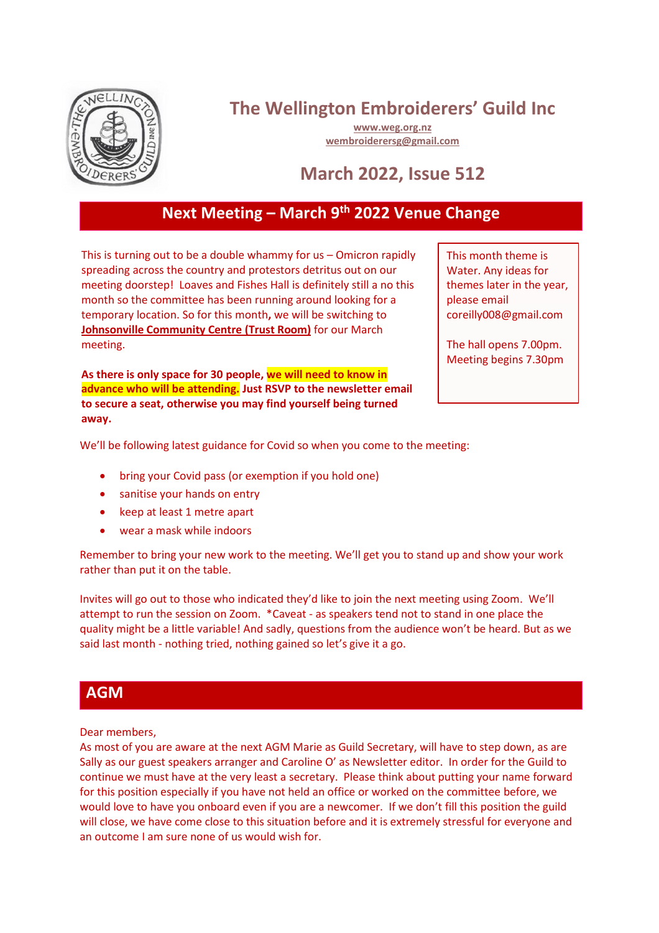

# **The Wellington Embroiderers' Guild Inc**

**[www.weg.org.nz](http://www.weg.org.nz/) [wembroiderersg@gmail.com](mailto:wembroiderersg@gmail.com)**

## **March 2022, Issue 512**

## **Next Meeting – March 9 th 2022 Venue Change**

This is turning out to be a double whammy for us – Omicron rapidly spreading across the country and protestors detritus out on our meeting doorstep! Loaves and Fishes Hall is definitely still a no this month so the committee has been running around looking for a temporary location. So for this month**,** we will be switching to **Johnsonville Community Centre (Trust Room)** for our March meeting.

**As there is only space for 30 people, we will need to know in advance who will be attending. Just RSVP to the newsletter email to secure a seat, otherwise you may find yourself being turned away.** 

This month theme is Water. Any ideas for themes later in the year, please email coreilly008@gmail.com

The hall opens 7.00pm. Meeting begins 7.30pm

We'll be following latest guidance for Covid so when you come to the meeting:

- bring your Covid pass (or exemption if you hold one)
- sanitise your hands on entry
- keep at least 1 metre apart
- wear a mask while indoors

Remember to bring your new work to the meeting. We'll get you to stand up and show your work rather than put it on the table.

Invites will go out to those who indicated they'd like to join the next meeting using Zoom. We'll attempt to run the session on Zoom. \*Caveat - as speakers tend not to stand in one place the quality might be a little variable! And sadly, questions from the audience won't be heard. But as we said last month - nothing tried, nothing gained so let's give it a go.

#### **AGM**

Dear members,

As most of you are aware at the next AGM Marie as Guild Secretary, will have to step down, as are Sally as our guest speakers arranger and Caroline O' as Newsletter editor. In order for the Guild to continue we must have at the very least a secretary. Please think about putting your name forward for this position especially if you have not held an office or worked on the committee before, we would love to have you onboard even if you are a newcomer. If we don't fill this position the guild will close, we have come close to this situation before and it is extremely stressful for everyone and an outcome I am sure none of us would wish for.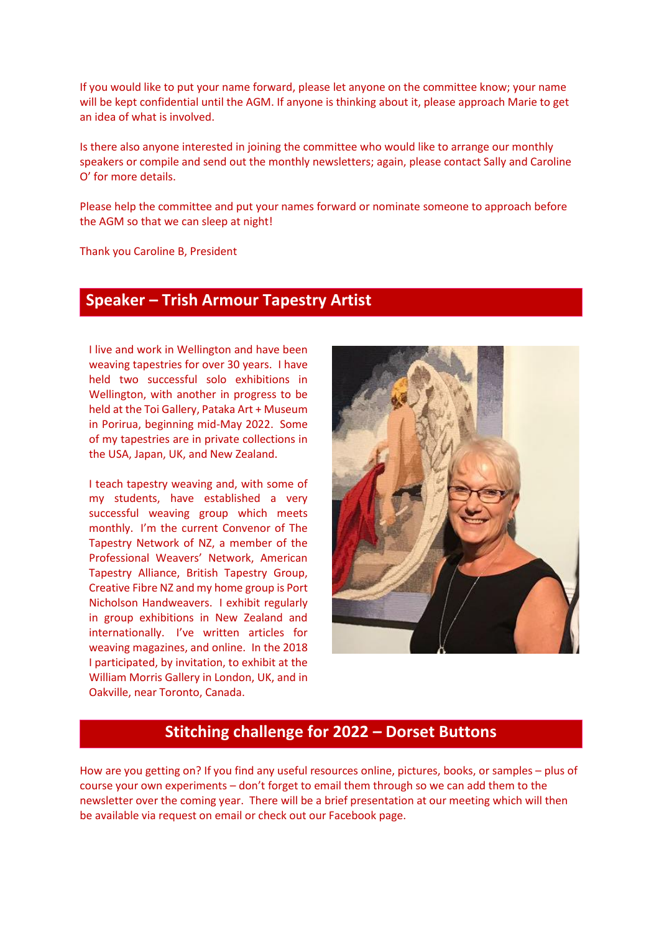If you would like to put your name forward, please let anyone on the committee know; your name will be kept confidential until the AGM. If anyone is thinking about it, please approach Marie to get an idea of what is involved.

Is there also anyone interested in joining the committee who would like to arrange our monthly speakers or compile and send out the monthly newsletters; again, please contact Sally and Caroline O' for more details.

Please help the committee and put your names forward or nominate someone to approach before the AGM so that we can sleep at night!

Thank you Caroline B, President

#### **Speaker – Trish Armour Tapestry Artist**

I live and work in Wellington and have been weaving tapestries for over 30 years. I have held two successful solo exhibitions in Wellington, with another in progress to be held at the Toi Gallery, Pataka Art + Museum in Porirua, beginning mid-May 2022. Some of my tapestries are in private collections in the USA, Japan, UK, and New Zealand.

I participated, by invitation, to exhibit at the<br>
Wall participated, by invitation, to exhibit at the I teach tapestry weaving and, with some of my students, have established a very successful weaving group which meets monthly. I'm the current Convenor of The Tapestry Network of NZ, a member of the Professional Weavers' Network, American Tapestry Alliance, British Tapestry Group, Creative Fibre NZ and my home group is Port Nicholson Handweavers. I exhibit regularly in group exhibitions in New Zealand and internationally. I've written articles for weaving magazines, and online. In the 2018 William Morris Gallery in London, UK, and in Oakville, near Toronto, Canada.



#### **Stitching challenge for 2022 – Dorset Buttons**

How are you getting on? If you find any useful resources online, pictures, books, or samples – plus of course your own experiments – don't forget to email them through so we can add them to the newsletter over the coming year. There will be a brief presentation at our meeting which will then be available via request on email or check out our Facebook page.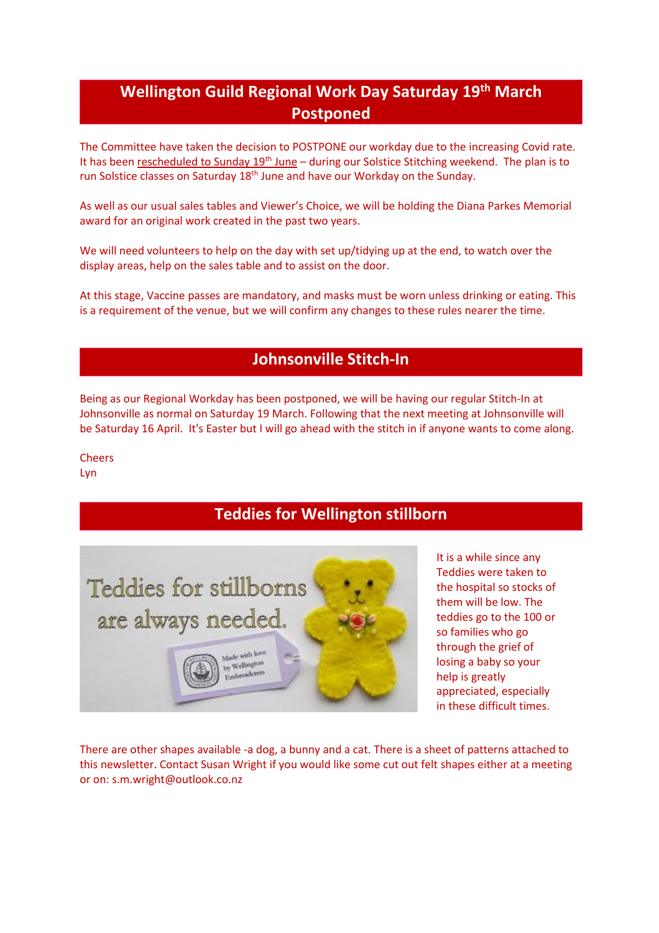## **Wellington Guild Regional Work Day Saturday 19th March Postponed**

The Committee have taken the decision to POSTPONE our workday due to the increasing Covid rate. It has been rescheduled to Sunday 19<sup>th</sup> June – during our Solstice Stitching weekend. The plan is to run Solstice classes on Saturday 18<sup>th</sup> June and have our Workday on the Sunday.

As well as our usual sales tables and Viewer's Choice, we will be holding the Diana Parkes Memorial award for an original work created in the past two years.

We will need volunteers to help on the day with set up/tidying up at the end, to watch over the display areas, help on the sales table and to assist on the door.

At this stage, Vaccine passes are mandatory, and masks must be worn unless drinking or eating. This is a requirement of the venue, but we will confirm any changes to these rules nearer the time.

### **Johnsonville Stitch-In**

Being as our Regional Workday has been postponed, we will be having our regular Stitch-In at Johnsonville as normal on Saturday 19 March. Following that the next meeting at Johnsonville will be Saturday 16 April. It's Easter but I will go ahead with the stitch in if anyone wants to come along.

Cheers Lyn

### **Teddies for Wellington stillborn**



It is a while since any Teddies were taken to the hospital so stocks of them will be low. The teddies go to the 100 or so families who go through the grief of losing a baby so your help is greatly appreciated, especially in these difficult times.

There are other shapes available -a dog, a bunny and a cat. There is a sheet of patterns attached to this newsletter. Contact Susan Wright if you would like some cut out felt shapes either at a meeting or on: [s.m.wright@outlook.co.nz](mailto:s.m.wright@outlook.co.nz)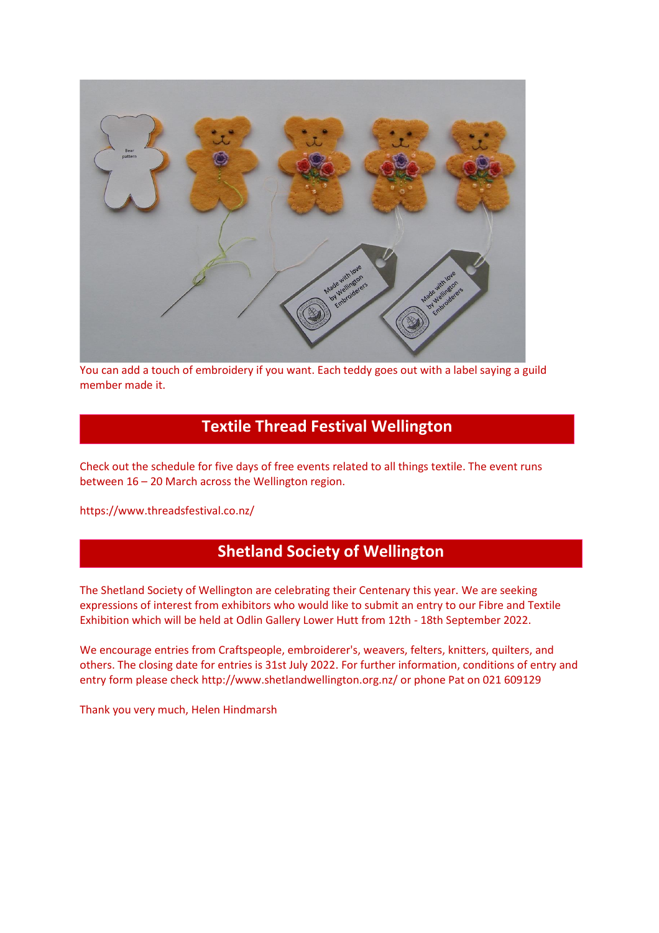

You can add a touch of embroidery if you want. Each teddy goes out with a label saying a guild member made it.

### **Textile Thread Festival Wellington**

Check out the schedule for five days of free events related to all things textile. The event runs between 16 – 20 March across the Wellington region.

<https://www.threadsfestival.co.nz/>

### **Shetland Society of Wellington**

The Shetland Society of Wellington are celebrating their Centenary this year. We are seeking expressions of interest from exhibitors who would like to submit an entry to our Fibre and Textile Exhibition which will be held at Odlin Gallery Lower Hutt from 12th - 18th September 2022.

We encourage entries from Craftspeople, embroiderer's, weavers, felters, knitters, quilters, and others. The closing date for entries is 31st July 2022. For further information, conditions of entry and entry form please check<http://www.shetlandwellington.org.nz/> or phone Pat on 021 609129

Thank you very much, Helen Hindmarsh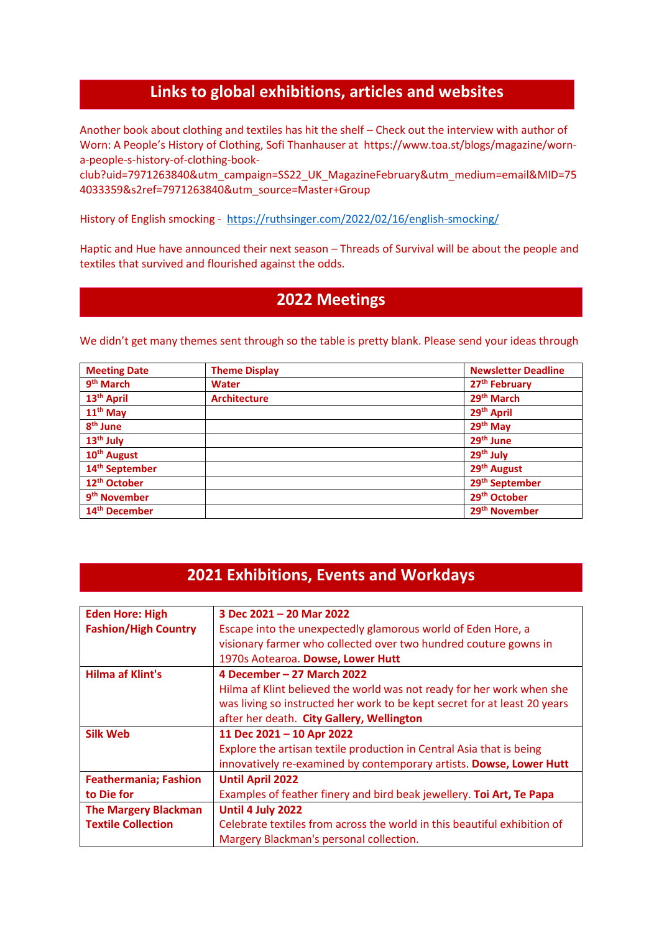### **Links to global exhibitions, articles and websites**

Another book about clothing and textiles has hit the shelf – Check out the interview with author of Worn: A People's History of Clothing, Sofi Thanhauser at [https://www.toa.st/blogs/magazine/worn](https://www.toa.st/blogs/magazine/worn-a-people-s-history-of-clothing-book-club?uid=7971263840&utm_campaign=SS22_UK_MagazineFebruary&utm_medium=email&MID=754033359&s2ref=7971263840&utm_source=Master+Group)[a-people-s-history-of-clothing-book-](https://www.toa.st/blogs/magazine/worn-a-people-s-history-of-clothing-book-club?uid=7971263840&utm_campaign=SS22_UK_MagazineFebruary&utm_medium=email&MID=754033359&s2ref=7971263840&utm_source=Master+Group)

[club?uid=7971263840&utm\\_campaign=SS22\\_UK\\_MagazineFebruary&utm\\_medium=email&MID=75](https://www.toa.st/blogs/magazine/worn-a-people-s-history-of-clothing-book-club?uid=7971263840&utm_campaign=SS22_UK_MagazineFebruary&utm_medium=email&MID=754033359&s2ref=7971263840&utm_source=Master+Group) [4033359&s2ref=7971263840&utm\\_source=Master+Group](https://www.toa.st/blogs/magazine/worn-a-people-s-history-of-clothing-book-club?uid=7971263840&utm_campaign=SS22_UK_MagazineFebruary&utm_medium=email&MID=754033359&s2ref=7971263840&utm_source=Master+Group)

History of English smocking - <https://ruthsinger.com/2022/02/16/english-smocking/>

Haptic and Hue have announced their next season – Threads of Survival will be about the people and textiles that survived and flourished against the odds.

#### **2022 Meetings**

We didn't get many themes sent through so the table is pretty blank. Please send your ideas through

| <b>Meeting Date</b>        | <b>Theme Display</b> | <b>Newsletter Deadline</b> |
|----------------------------|----------------------|----------------------------|
| 9 <sup>th</sup> March      | <b>Water</b>         | 27 <sup>th</sup> February  |
| 13 <sup>th</sup> April     | <b>Architecture</b>  | 29 <sup>th</sup> March     |
| 11 <sup>th</sup> May       |                      | 29 <sup>th</sup> April     |
| 8 <sup>th</sup> June       |                      | 29 <sup>th</sup> May       |
| 13 <sup>th</sup> July      |                      | 29 <sup>th</sup> June      |
| 10 <sup>th</sup> August    |                      | 29 <sup>th</sup> July      |
| 14 <sup>th</sup> September |                      | 29 <sup>th</sup> August    |
| 12 <sup>th</sup> October   |                      | 29 <sup>th</sup> September |
| 9 <sup>th</sup> November   |                      | 29 <sup>th</sup> October   |
| 14 <sup>th</sup> December  |                      | 29 <sup>th</sup> November  |

#### **2021 Exhibitions, Events and Workdays**

| <b>Eden Hore: High</b>       | 3 Dec 2021 - 20 Mar 2022                                                  |
|------------------------------|---------------------------------------------------------------------------|
| <b>Fashion/High Country</b>  | Escape into the unexpectedly glamorous world of Eden Hore, a              |
|                              | visionary farmer who collected over two hundred couture gowns in          |
|                              | 1970s Aotearoa. Dowse, Lower Hutt                                         |
| Hilma af Klint's             | 4 December - 27 March 2022                                                |
|                              | Hilma af Klint believed the world was not ready for her work when she     |
|                              | was living so instructed her work to be kept secret for at least 20 years |
|                              | after her death. City Gallery, Wellington                                 |
| <b>Silk Web</b>              | 11 Dec 2021 - 10 Apr 2022                                                 |
|                              | Explore the artisan textile production in Central Asia that is being      |
|                              | innovatively re-examined by contemporary artists. Dowse, Lower Hutt       |
| <b>Feathermania; Fashion</b> | <b>Until April 2022</b>                                                   |
| to Die for                   | Examples of feather finery and bird beak jewellery. Toi Art, Te Papa      |
| <b>The Margery Blackman</b>  | Until 4 July 2022                                                         |
| <b>Textile Collection</b>    | Celebrate textiles from across the world in this beautiful exhibition of  |
|                              | Margery Blackman's personal collection.                                   |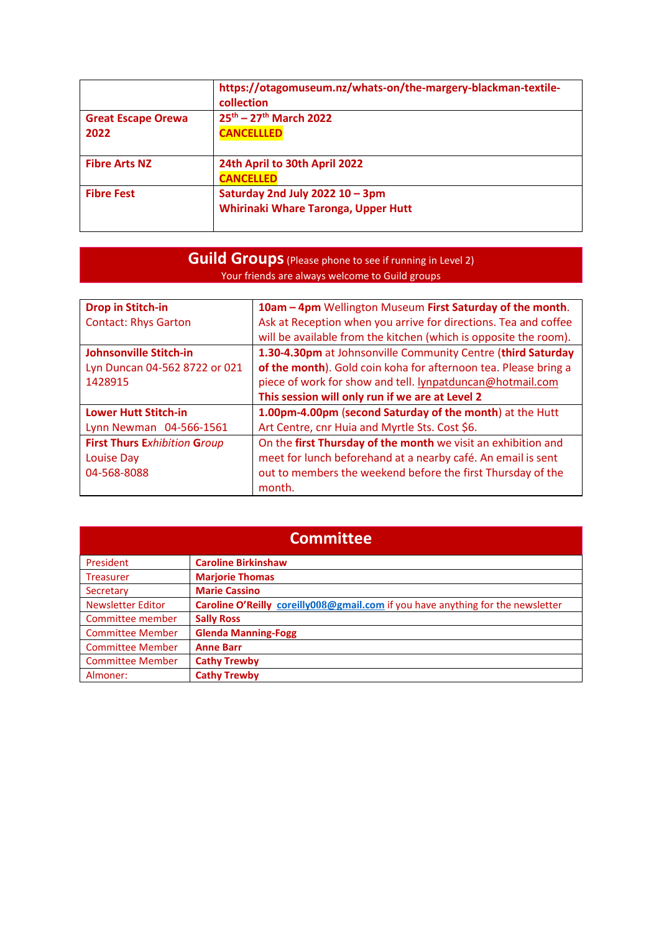|                           | https://otagomuseum.nz/whats-on/the-margery-blackman-textile-<br>collection |
|---------------------------|-----------------------------------------------------------------------------|
| <b>Great Escape Orewa</b> | $25^{th} - 27^{th}$ March 2022                                              |
| 2022                      | <b>CANCELLLED</b>                                                           |
|                           |                                                                             |
| <b>Fibre Arts NZ</b>      | 24th April to 30th April 2022                                               |
|                           | <b>CANCELLED</b>                                                            |
| <b>Fibre Fest</b>         | Saturday 2nd July 2022 10 - 3pm                                             |
|                           | Whirinaki Whare Taronga, Upper Hutt                                         |
|                           |                                                                             |

#### **Guild Groups** (Please phone to see if running in Level 2) Your friends are always welcome to Guild groups

| <b>Drop in Stitch-in</b>            | 10am - 4pm Wellington Museum First Saturday of the month.        |
|-------------------------------------|------------------------------------------------------------------|
| <b>Contact: Rhys Garton</b>         | Ask at Reception when you arrive for directions. Tea and coffee  |
|                                     | will be available from the kitchen (which is opposite the room). |
| <b>Johnsonville Stitch-in</b>       | 1.30-4.30pm at Johnsonville Community Centre (third Saturday     |
| Lyn Duncan 04-562 8722 or 021       | of the month). Gold coin koha for afternoon tea. Please bring a  |
| 1428915                             | piece of work for show and tell. lynpatduncan@hotmail.com        |
|                                     | This session will only run if we are at Level 2                  |
| <b>Lower Hutt Stitch-in</b>         | 1.00pm-4.00pm (second Saturday of the month) at the Hutt         |
| Lynn Newman 04-566-1561             | Art Centre, cnr Huia and Myrtle Sts. Cost \$6.                   |
| <b>First Thurs Exhibition Group</b> | On the first Thursday of the month we visit an exhibition and    |
| <b>Louise Day</b>                   | meet for lunch beforehand at a nearby café. An email is sent     |
| 04-568-8088                         | out to members the weekend before the first Thursday of the      |
|                                     | month.                                                           |

| <b>Committee</b>         |                                                                                 |  |
|--------------------------|---------------------------------------------------------------------------------|--|
| President                | <b>Caroline Birkinshaw</b>                                                      |  |
| <b>Treasurer</b>         | <b>Marjorie Thomas</b>                                                          |  |
| Secretary                | <b>Marie Cassino</b>                                                            |  |
| <b>Newsletter Editor</b> | Caroline O'Reilly coreilly008@gmail.com if you have anything for the newsletter |  |
| Committee member         | <b>Sally Ross</b>                                                               |  |
| <b>Committee Member</b>  | <b>Glenda Manning-Fogg</b>                                                      |  |
| <b>Committee Member</b>  | <b>Anne Barr</b>                                                                |  |
| <b>Committee Member</b>  | <b>Cathy Trewby</b>                                                             |  |
| Almoner:                 | <b>Cathy Trewby</b>                                                             |  |